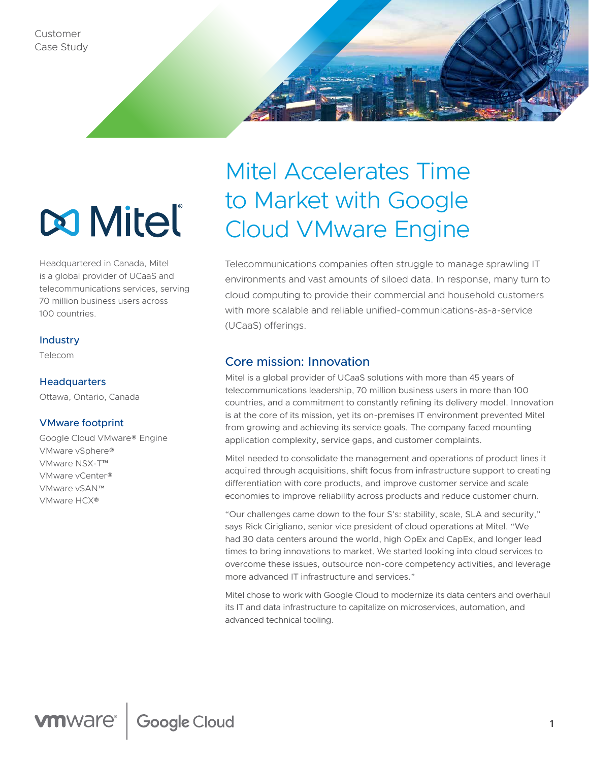

# **Mitel**

Headquartered in Canada, Mitel is a global provider of UCaaS and telecommunications services, serving 70 million business users across 100 countries.

### **Industry**

Telecom

### **Headquarters**

Ottawa, Ontario, Canada

### VMware footprint

Google Cloud VMware® Engine VMware vSphere® VMware NSX-T™ VMware vCenter® VMware vSAN™ VMware HCX®

# Mitel Accelerates Time to Market with Google Cloud VMware Engine

Telecommunications companies often struggle to manage sprawling IT environments and vast amounts of siloed data. In response, many turn to cloud computing to provide their commercial and household customers with more scalable and reliable unified-communications-as-a-service (UCaaS) offerings.

# Core mission: Innovation

Mitel is a global provider of UCaaS solutions with more than 45 years of telecommunications leadership, 70 million business users in more than 100 countries, and a commitment to constantly refining its delivery model. Innovation is at the core of its mission, yet its on-premises IT environment prevented Mitel from growing and achieving its service goals. The company faced mounting application complexity, service gaps, and customer complaints.

Mitel needed to consolidate the management and operations of product lines it acquired through acquisitions, shift focus from infrastructure support to creating differentiation with core products, and improve customer service and scale economies to improve reliability across products and reduce customer churn.

"Our challenges came down to the four S's: stability, scale, SLA and security," says Rick Cirigliano, senior vice president of cloud operations at Mitel. "We had 30 data centers around the world, high OpEx and CapEx, and longer lead times to bring innovations to market. We started looking into cloud services to overcome these issues, outsource non-core competency activities, and leverage more advanced IT infrastructure and services."

Mitel chose to work with Google Cloud to modernize its data centers and overhaul its IT and data infrastructure to capitalize on microservices, automation, and advanced technical tooling.